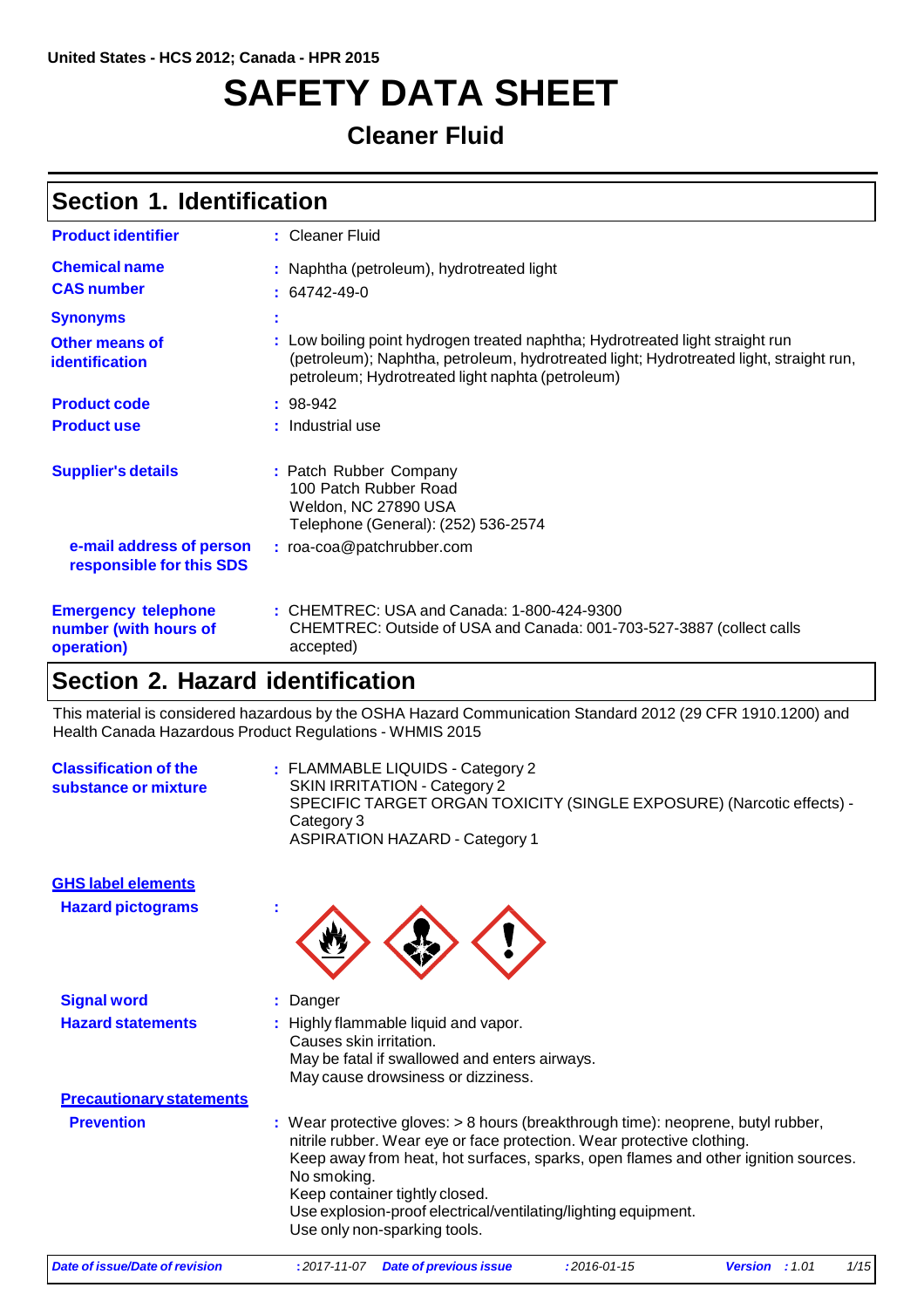# **SAFETY DATA SHEET**

### **Cleaner Fluid**

|  |  | Section 1. Identification |
|--|--|---------------------------|
|--|--|---------------------------|

| <b>Product identifier</b>                                         | : Cleaner Fluid                                                                                                                                                                                                             |
|-------------------------------------------------------------------|-----------------------------------------------------------------------------------------------------------------------------------------------------------------------------------------------------------------------------|
| <b>Chemical name</b><br><b>CAS number</b>                         | : Naphtha (petroleum), hydrotreated light<br>$: 64742 - 49 - 0$                                                                                                                                                             |
| <b>Synonyms</b>                                                   | ÷                                                                                                                                                                                                                           |
| <b>Other means of</b><br>identification                           | : Low boiling point hydrogen treated naphtha; Hydrotreated light straight run<br>(petroleum); Naphtha, petroleum, hydrotreated light; Hydrotreated light, straight run,<br>petroleum; Hydrotreated light naphta (petroleum) |
| <b>Product code</b>                                               | $: 98-942$                                                                                                                                                                                                                  |
| <b>Product use</b>                                                | : Industrial use                                                                                                                                                                                                            |
| <b>Supplier's details</b>                                         | : Patch Rubber Company<br>100 Patch Rubber Road<br>Weldon, NC 27890 USA<br>Telephone (General): (252) 536-2574                                                                                                              |
| e-mail address of person<br>responsible for this SDS              | : roa-coa@patchrubber.com                                                                                                                                                                                                   |
| <b>Emergency telephone</b><br>number (with hours of<br>operation) | : CHEMTREC: USA and Canada: 1-800-424-9300<br>CHEMTREC: Outside of USA and Canada: 001-703-527-3887 (collect calls<br>accepted)                                                                                             |

### **Section 2. Hazard identification**

This material is considered hazardous by the OSHA Hazard Communication Standard 2012 (29 CFR 1910.1200) and Health Canada Hazardous Product Regulations - WHMIS 2015

| <b>Classification of the</b><br>substance or mixture | : FLAMMABLE LIQUIDS - Category 2<br><b>SKIN IRRITATION - Category 2</b><br>SPECIFIC TARGET ORGAN TOXICITY (SINGLE EXPOSURE) (Narcotic effects) -<br>Category 3<br><b>ASPIRATION HAZARD - Category 1</b>                                                                                                                                                                                             |
|------------------------------------------------------|-----------------------------------------------------------------------------------------------------------------------------------------------------------------------------------------------------------------------------------------------------------------------------------------------------------------------------------------------------------------------------------------------------|
| <b>GHS label elements</b>                            |                                                                                                                                                                                                                                                                                                                                                                                                     |
| <b>Hazard pictograms</b>                             |                                                                                                                                                                                                                                                                                                                                                                                                     |
| <b>Signal word</b>                                   | Danger                                                                                                                                                                                                                                                                                                                                                                                              |
| <b>Hazard statements</b>                             | Highly flammable liquid and vapor.<br>Causes skin irritation.<br>May be fatal if swallowed and enters airways.<br>May cause drowsiness or dizziness.                                                                                                                                                                                                                                                |
| <b>Precautionary statements</b>                      |                                                                                                                                                                                                                                                                                                                                                                                                     |
| <b>Prevention</b>                                    | : Wear protective gloves: > 8 hours (breakthrough time): neoprene, butyl rubber,<br>nitrile rubber. Wear eye or face protection. Wear protective clothing.<br>Keep away from heat, hot surfaces, sparks, open flames and other ignition sources.<br>No smoking.<br>Keep container tightly closed.<br>Use explosion-proof electrical/ventilating/lighting equipment.<br>Use only non-sparking tools. |
| Date of issue/Date of revision                       | 1/15<br>$:2016 - 01 - 15$<br>$: 2017 - 11 - 07$<br><b>Date of previous issue</b><br><b>Version</b> : $1.01$                                                                                                                                                                                                                                                                                         |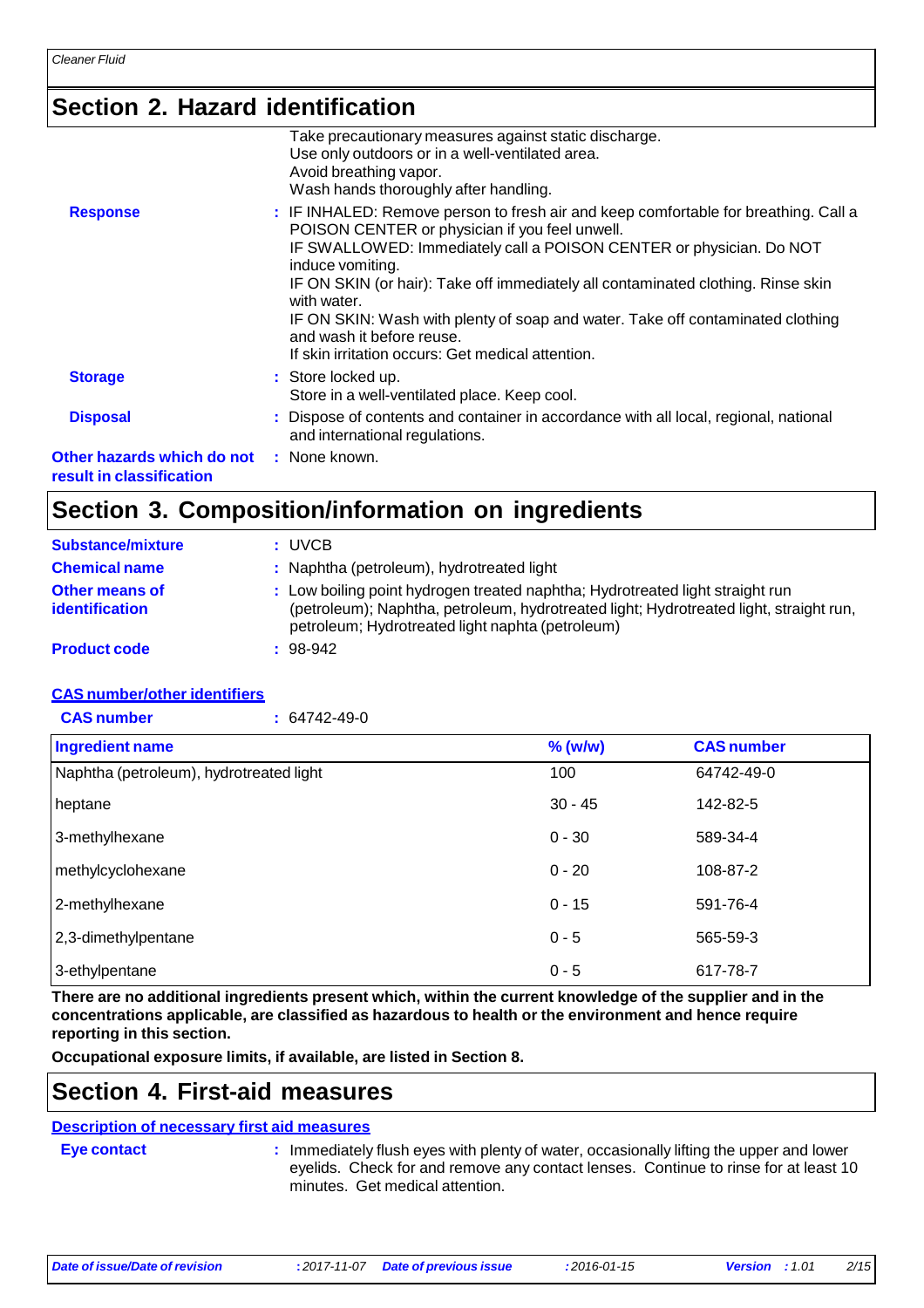### **Section 2. Hazard identification**

|                                                        | Take precautionary measures against static discharge.<br>Use only outdoors or in a well-ventilated area.<br>Avoid breathing vapor.<br>Wash hands thoroughly after handling.                                                                                                                                                                                                                                                                                                                             |
|--------------------------------------------------------|---------------------------------------------------------------------------------------------------------------------------------------------------------------------------------------------------------------------------------------------------------------------------------------------------------------------------------------------------------------------------------------------------------------------------------------------------------------------------------------------------------|
| <b>Response</b>                                        | : IF INHALED: Remove person to fresh air and keep comfortable for breathing. Call a<br>POISON CENTER or physician if you feel unwell.<br>IF SWALLOWED: Immediately call a POISON CENTER or physician. Do NOT<br>induce vomiting.<br>IF ON SKIN (or hair): Take off immediately all contaminated clothing. Rinse skin<br>with water.<br>IF ON SKIN: Wash with plenty of soap and water. Take off contaminated clothing<br>and wash it before reuse.<br>If skin irritation occurs: Get medical attention. |
| <b>Storage</b>                                         | : Store locked up.<br>Store in a well-ventilated place. Keep cool.                                                                                                                                                                                                                                                                                                                                                                                                                                      |
| <b>Disposal</b>                                        | : Dispose of contents and container in accordance with all local, regional, national<br>and international regulations.                                                                                                                                                                                                                                                                                                                                                                                  |
| Other hazards which do not<br>result in classification | : None known.                                                                                                                                                                                                                                                                                                                                                                                                                                                                                           |
|                                                        |                                                                                                                                                                                                                                                                                                                                                                                                                                                                                                         |

### **Section 3. Composition/information on ingredients**

| <b>Substance/mixture</b>                       | : UVCB                                                                                                                                                                                                                      |
|------------------------------------------------|-----------------------------------------------------------------------------------------------------------------------------------------------------------------------------------------------------------------------------|
| <b>Chemical name</b>                           | : Naphtha (petroleum), hydrotreated light                                                                                                                                                                                   |
| <b>Other means of</b><br><b>identification</b> | : Low boiling point hydrogen treated naphtha; Hydrotreated light straight run<br>(petroleum); Naphtha, petroleum, hydrotreated light; Hydrotreated light, straight run,<br>petroleum; Hydrotreated light naphta (petroleum) |
| <b>Product code</b>                            | $: 98-942$                                                                                                                                                                                                                  |

#### **CAS number/other identifiers**

| <b>CAS number</b><br>$: 64742 - 49 - 0$ |           |                   |
|-----------------------------------------|-----------|-------------------|
| Ingredient name                         | % (w/w)   | <b>CAS number</b> |
| Naphtha (petroleum), hydrotreated light | 100       | 64742-49-0        |
| heptane                                 | $30 - 45$ | 142-82-5          |
| 3-methylhexane                          | $0 - 30$  | 589-34-4          |
| methylcyclohexane                       | $0 - 20$  | 108-87-2          |
| 2-methylhexane                          | $0 - 15$  | 591-76-4          |
| 2,3-dimethylpentane                     | $0 - 5$   | 565-59-3          |
| 3-ethylpentane                          | $0 - 5$   | 617-78-7          |

There are no additional ingredients present which, within the current knowledge of the supplier and in the **concentrations applicable, are classified as hazardous to health or the environment and hence require reporting in this section.**

**Occupational exposure limits, if available, are listed in Section 8.**

### **Section 4. First-aid measures**

### **Description of necessary first aid measures**

**Eye contact :** Immediately flush eyes with plenty of water, occasionally lifting the upper and lower eyelids. Check for and remove any contact lenses. Continue to rinse for at least 10 minutes. Get medical attention.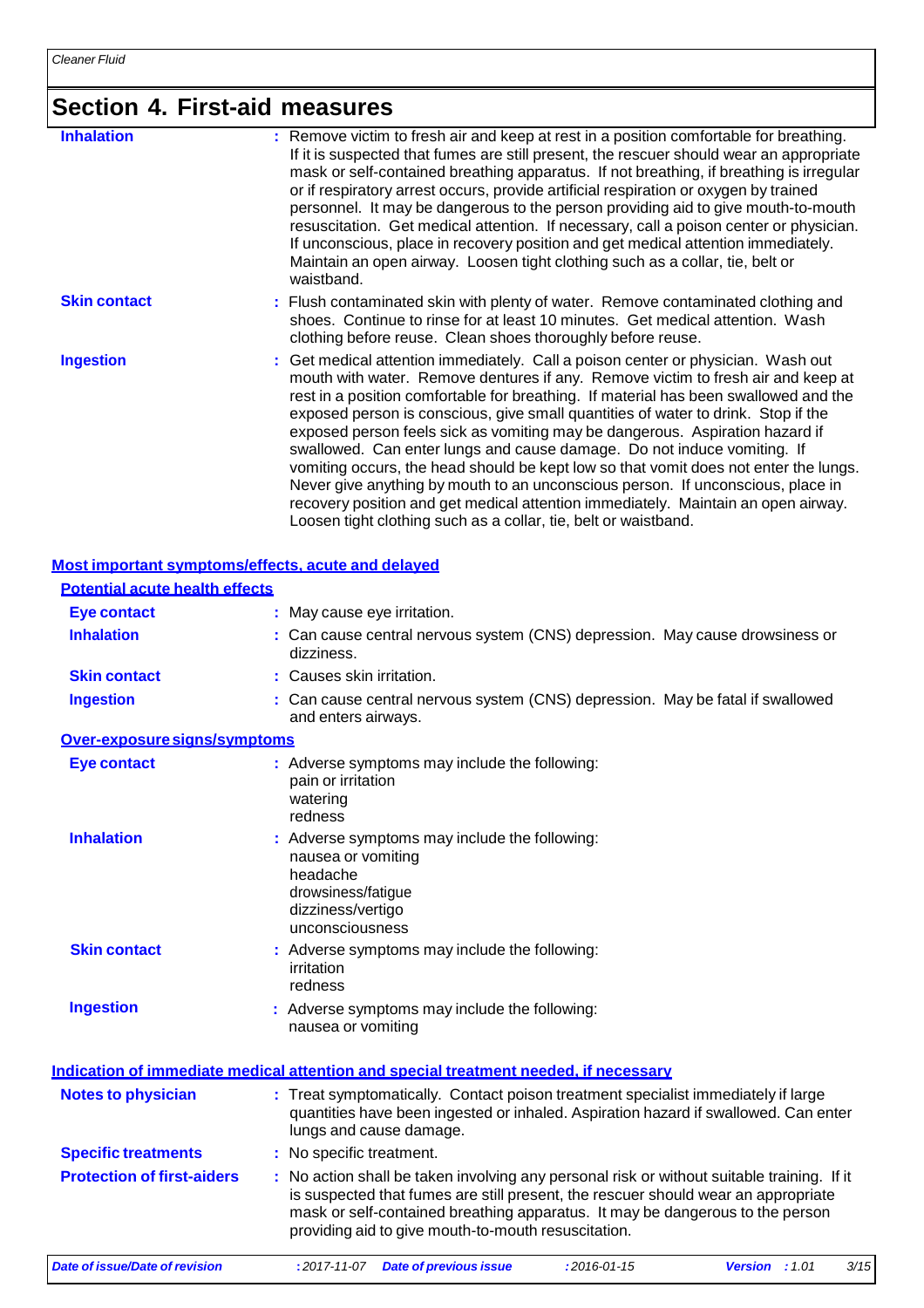## **Section 4. First-aid measures**

| <b>Inhalation</b>   | : Remove victim to fresh air and keep at rest in a position comfortable for breathing.<br>If it is suspected that fumes are still present, the rescuer should wear an appropriate<br>mask or self-contained breathing apparatus. If not breathing, if breathing is irregular<br>or if respiratory arrest occurs, provide artificial respiration or oxygen by trained<br>personnel. It may be dangerous to the person providing aid to give mouth-to-mouth<br>resuscitation. Get medical attention. If necessary, call a poison center or physician.<br>If unconscious, place in recovery position and get medical attention immediately.<br>Maintain an open airway. Loosen tight clothing such as a collar, tie, belt or<br>waistband.                                                                                                         |
|---------------------|-------------------------------------------------------------------------------------------------------------------------------------------------------------------------------------------------------------------------------------------------------------------------------------------------------------------------------------------------------------------------------------------------------------------------------------------------------------------------------------------------------------------------------------------------------------------------------------------------------------------------------------------------------------------------------------------------------------------------------------------------------------------------------------------------------------------------------------------------|
| <b>Skin contact</b> | : Flush contaminated skin with plenty of water. Remove contaminated clothing and<br>shoes. Continue to rinse for at least 10 minutes. Get medical attention. Wash<br>clothing before reuse. Clean shoes thoroughly before reuse.                                                                                                                                                                                                                                                                                                                                                                                                                                                                                                                                                                                                                |
| <b>Ingestion</b>    | : Get medical attention immediately. Call a poison center or physician. Wash out<br>mouth with water. Remove dentures if any. Remove victim to fresh air and keep at<br>rest in a position comfortable for breathing. If material has been swallowed and the<br>exposed person is conscious, give small quantities of water to drink. Stop if the<br>exposed person feels sick as vomiting may be dangerous. Aspiration hazard if<br>swallowed. Can enter lungs and cause damage. Do not induce vomiting. If<br>vomiting occurs, the head should be kept low so that vomit does not enter the lungs.<br>Never give anything by mouth to an unconscious person. If unconscious, place in<br>recovery position and get medical attention immediately. Maintain an open airway.<br>Loosen tight clothing such as a collar, tie, belt or waistband. |

#### **Most important symptoms/effects, acute and delayed**

| <b>Potential acute health effects</b> |                                                                                                                                                                                                                                                                                                                         |  |  |  |  |
|---------------------------------------|-------------------------------------------------------------------------------------------------------------------------------------------------------------------------------------------------------------------------------------------------------------------------------------------------------------------------|--|--|--|--|
| <b>Eye contact</b>                    | : May cause eye irritation.                                                                                                                                                                                                                                                                                             |  |  |  |  |
| <b>Inhalation</b>                     | : Can cause central nervous system (CNS) depression. May cause drowsiness or<br>dizziness.                                                                                                                                                                                                                              |  |  |  |  |
| <b>Skin contact</b>                   | : Causes skin irritation.                                                                                                                                                                                                                                                                                               |  |  |  |  |
| <b>Ingestion</b>                      | : Can cause central nervous system (CNS) depression. May be fatal if swallowed<br>and enters airways.                                                                                                                                                                                                                   |  |  |  |  |
| Over-exposure signs/symptoms          |                                                                                                                                                                                                                                                                                                                         |  |  |  |  |
| <b>Eye contact</b>                    | : Adverse symptoms may include the following:<br>pain or irritation<br>watering<br>redness                                                                                                                                                                                                                              |  |  |  |  |
| <b>Inhalation</b>                     | : Adverse symptoms may include the following:<br>nausea or vomiting<br>headache<br>drowsiness/fatigue<br>dizziness/vertigo<br>unconsciousness                                                                                                                                                                           |  |  |  |  |
| <b>Skin contact</b>                   | : Adverse symptoms may include the following:<br>irritation<br>redness                                                                                                                                                                                                                                                  |  |  |  |  |
| <b>Ingestion</b>                      | : Adverse symptoms may include the following:<br>nausea or vomiting                                                                                                                                                                                                                                                     |  |  |  |  |
|                                       | Indication of immediate medical attention and special treatment needed, if necessary                                                                                                                                                                                                                                    |  |  |  |  |
| <b>Notes to physician</b>             | : Treat symptomatically. Contact poison treatment specialist immediately if large<br>quantities have been ingested or inhaled. Aspiration hazard if swallowed. Can enter<br>lungs and cause damage.                                                                                                                     |  |  |  |  |
| <b>Specific treatments</b>            | : No specific treatment.                                                                                                                                                                                                                                                                                                |  |  |  |  |
| <b>Protection of first-aiders</b>     | : No action shall be taken involving any personal risk or without suitable training. If it<br>is suspected that fumes are still present, the rescuer should wear an appropriate<br>mask or self-contained breathing apparatus. It may be dangerous to the person<br>providing aid to give mouth-to-mouth resuscitation. |  |  |  |  |
| Date of issue/Date of revision        | 3/15<br>: 2017-11-07 Date of previous issue<br>$: 2016 - 01 - 15$<br><b>Version</b> : $1.01$                                                                                                                                                                                                                            |  |  |  |  |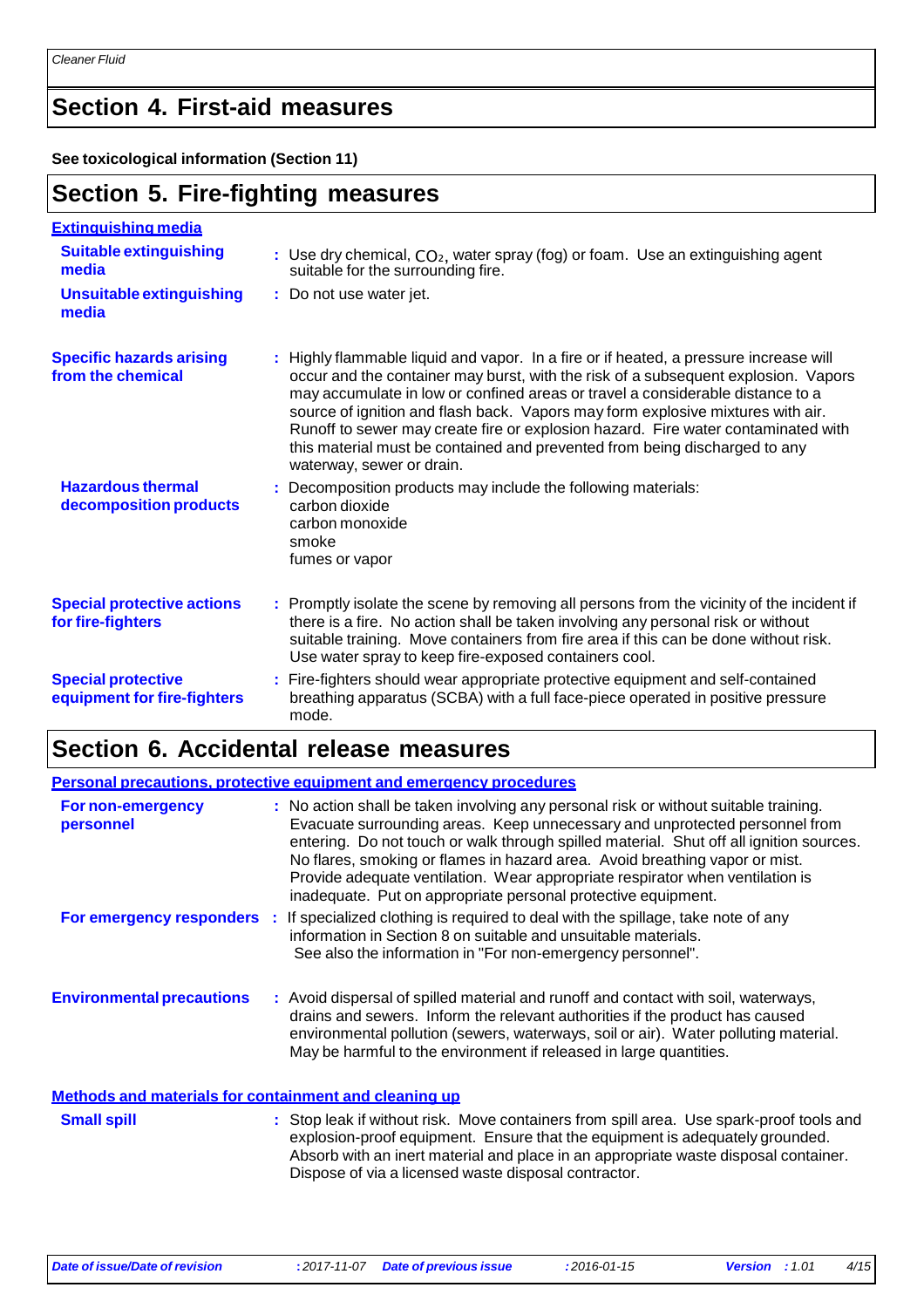### **Section 4. First-aid measures**

**See toxicological information (Section 11)**

### **Section 5. Fire-fighting measures**

| <b>Extinguishing media</b>                               |                                                                                                                                                                                                                                                                                                                                                                                                                                                                                                                                                  |
|----------------------------------------------------------|--------------------------------------------------------------------------------------------------------------------------------------------------------------------------------------------------------------------------------------------------------------------------------------------------------------------------------------------------------------------------------------------------------------------------------------------------------------------------------------------------------------------------------------------------|
| <b>Suitable extinguishing</b><br>media                   | : Use dry chemical, $CO2$ , water spray (fog) or foam. Use an extinguishing agent<br>suitable for the surrounding fire.                                                                                                                                                                                                                                                                                                                                                                                                                          |
| <b>Unsuitable extinguishing</b><br>media                 | : Do not use water jet.                                                                                                                                                                                                                                                                                                                                                                                                                                                                                                                          |
| <b>Specific hazards arising</b><br>from the chemical     | : Highly flammable liquid and vapor. In a fire or if heated, a pressure increase will<br>occur and the container may burst, with the risk of a subsequent explosion. Vapors<br>may accumulate in low or confined areas or travel a considerable distance to a<br>source of ignition and flash back. Vapors may form explosive mixtures with air.<br>Runoff to sewer may create fire or explosion hazard. Fire water contaminated with<br>this material must be contained and prevented from being discharged to any<br>waterway, sewer or drain. |
| <b>Hazardous thermal</b><br>decomposition products       | : Decomposition products may include the following materials:<br>carbon dioxide<br>carbon monoxide<br>smoke<br>fumes or vapor                                                                                                                                                                                                                                                                                                                                                                                                                    |
| <b>Special protective actions</b><br>for fire-fighters   | : Promptly isolate the scene by removing all persons from the vicinity of the incident if<br>there is a fire. No action shall be taken involving any personal risk or without<br>suitable training. Move containers from fire area if this can be done without risk.<br>Use water spray to keep fire-exposed containers cool.                                                                                                                                                                                                                    |
| <b>Special protective</b><br>equipment for fire-fighters | : Fire-fighters should wear appropriate protective equipment and self-contained<br>breathing apparatus (SCBA) with a full face-piece operated in positive pressure<br>mode.                                                                                                                                                                                                                                                                                                                                                                      |

### **Section 6. Accidental release measures**

|                                                              |  | Personal precautions, protective equipment and emergency procedures                                                                                                                                                                                                                                                                                                                                                                                                                             |  |
|--------------------------------------------------------------|--|-------------------------------------------------------------------------------------------------------------------------------------------------------------------------------------------------------------------------------------------------------------------------------------------------------------------------------------------------------------------------------------------------------------------------------------------------------------------------------------------------|--|
| For non-emergency<br>personnel                               |  | : No action shall be taken involving any personal risk or without suitable training.<br>Evacuate surrounding areas. Keep unnecessary and unprotected personnel from<br>entering. Do not touch or walk through spilled material. Shut off all ignition sources.<br>No flares, smoking or flames in hazard area. Avoid breathing vapor or mist.<br>Provide adequate ventilation. Wear appropriate respirator when ventilation is<br>inadequate. Put on appropriate personal protective equipment. |  |
| For emergency responders :                                   |  | If specialized clothing is required to deal with the spillage, take note of any<br>information in Section 8 on suitable and unsuitable materials.<br>See also the information in "For non-emergency personnel".                                                                                                                                                                                                                                                                                 |  |
| <b>Environmental precautions</b>                             |  | : Avoid dispersal of spilled material and runoff and contact with soil, waterways,<br>drains and sewers. Inform the relevant authorities if the product has caused<br>environmental pollution (sewers, waterways, soil or air). Water polluting material.<br>May be harmful to the environment if released in large quantities.                                                                                                                                                                 |  |
| <u>Methods and materials for containment and cleaning up</u> |  |                                                                                                                                                                                                                                                                                                                                                                                                                                                                                                 |  |

**Small spill Stop leak if without risk.** Move containers from spill area. Use spark-proof tools and explosion-proof equipment. Ensure that the equipment is adequately grounded. Absorb with an inert material and place in an appropriate waste disposal container. Dispose of via a licensed waste disposal contractor.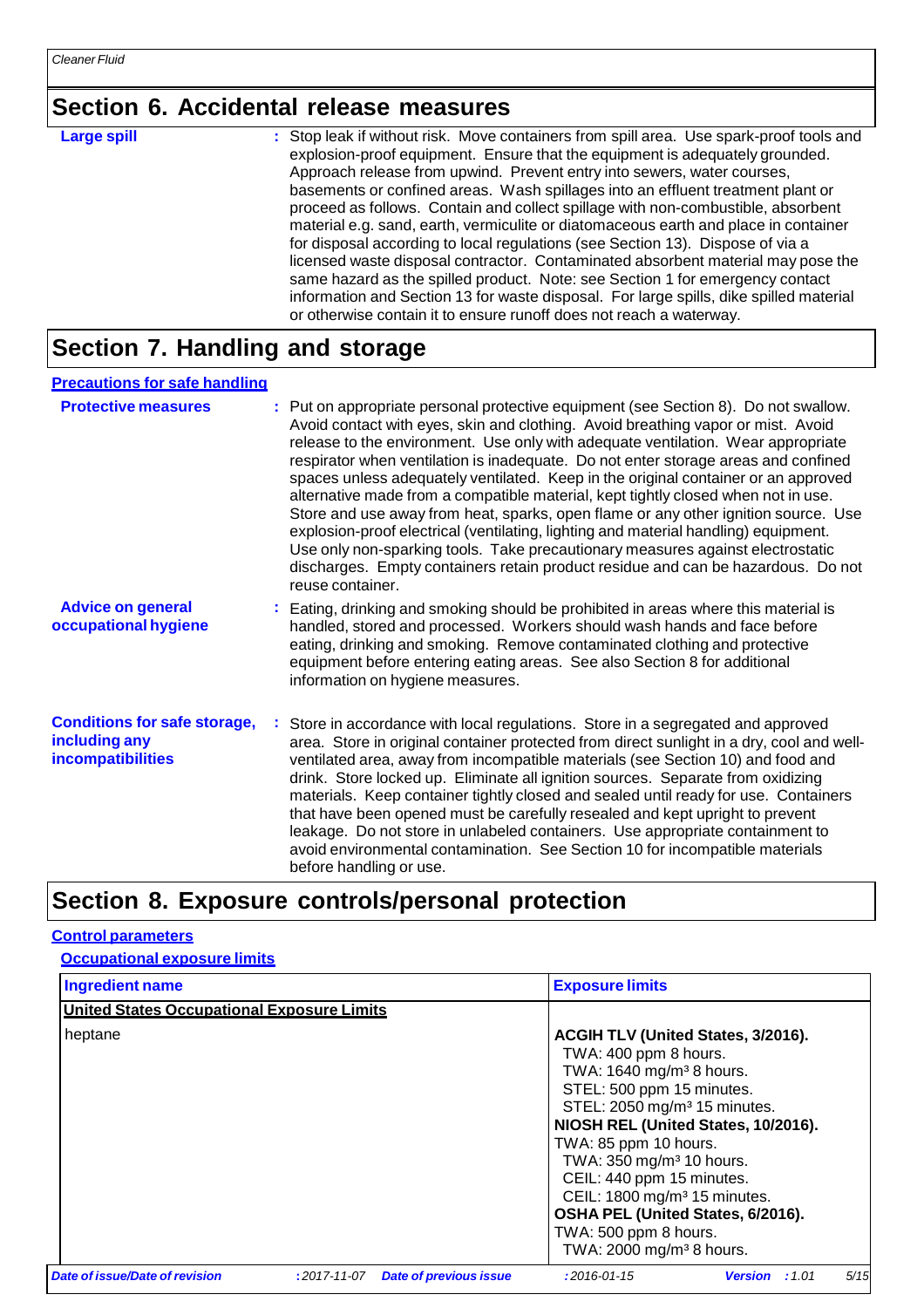### **Section 6. Accidental release measures**

**Large spill :** Stop leak if without risk. Move containers from spill area. Use spark-proof tools and explosion-proof equipment. Ensure that the equipment is adequately grounded. Approach release from upwind. Prevent entry into sewers, water courses, basements or confined areas. Wash spillages into an effluent treatment plant or proceed as follows. Contain and collect spillage with non-combustible, absorbent material e.g. sand, earth, vermiculite or diatomaceous earth and place in container for disposal according to local regulations (see Section 13). Dispose of via a licensed waste disposal contractor. Contaminated absorbent material may pose the same hazard as the spilled product. Note: see Section 1 for emergency contact information and Section 13 for waste disposal. For large spills, dike spilled material or otherwise contain it to ensure runoff does not reach a waterway.

### **Section 7. Handling and storage**

| <b>Precautions for safe handling</b>                                      |                                                                                                                                                                                                                                                                                                                                                                                                                                                                                                                                                                                                                                                                                                                                                                                                                                                                                                     |
|---------------------------------------------------------------------------|-----------------------------------------------------------------------------------------------------------------------------------------------------------------------------------------------------------------------------------------------------------------------------------------------------------------------------------------------------------------------------------------------------------------------------------------------------------------------------------------------------------------------------------------------------------------------------------------------------------------------------------------------------------------------------------------------------------------------------------------------------------------------------------------------------------------------------------------------------------------------------------------------------|
| <b>Protective measures</b>                                                | : Put on appropriate personal protective equipment (see Section 8). Do not swallow.<br>Avoid contact with eyes, skin and clothing. Avoid breathing vapor or mist. Avoid<br>release to the environment. Use only with adequate ventilation. Wear appropriate<br>respirator when ventilation is inadequate. Do not enter storage areas and confined<br>spaces unless adequately ventilated. Keep in the original container or an approved<br>alternative made from a compatible material, kept tightly closed when not in use.<br>Store and use away from heat, sparks, open flame or any other ignition source. Use<br>explosion-proof electrical (ventilating, lighting and material handling) equipment.<br>Use only non-sparking tools. Take precautionary measures against electrostatic<br>discharges. Empty containers retain product residue and can be hazardous. Do not<br>reuse container. |
| <b>Advice on general</b><br>occupational hygiene                          | : Eating, drinking and smoking should be prohibited in areas where this material is<br>handled, stored and processed. Workers should wash hands and face before<br>eating, drinking and smoking. Remove contaminated clothing and protective<br>equipment before entering eating areas. See also Section 8 for additional<br>information on hygiene measures.                                                                                                                                                                                                                                                                                                                                                                                                                                                                                                                                       |
| <b>Conditions for safe storage,</b><br>including any<br>incompatibilities | Store in accordance with local regulations. Store in a segregated and approved<br>area. Store in original container protected from direct sunlight in a dry, cool and well-<br>ventilated area, away from incompatible materials (see Section 10) and food and<br>drink. Store locked up. Eliminate all ignition sources. Separate from oxidizing<br>materials. Keep container tightly closed and sealed until ready for use. Containers<br>that have been opened must be carefully resealed and kept upright to prevent<br>leakage. Do not store in unlabeled containers. Use appropriate containment to<br>avoid environmental contamination. See Section 10 for incompatible materials<br>before handling or use.                                                                                                                                                                                |

### **Section 8. Exposure controls/personal protection**

#### **Control parameters**

**Occupational exposure limits**

| Ingredient name                                   |                    | <b>Exposure limits</b>        |                                                                                                                                                                                                                                                                                                                                                                                                                                                                     |                       |      |
|---------------------------------------------------|--------------------|-------------------------------|---------------------------------------------------------------------------------------------------------------------------------------------------------------------------------------------------------------------------------------------------------------------------------------------------------------------------------------------------------------------------------------------------------------------------------------------------------------------|-----------------------|------|
| <b>United States Occupational Exposure Limits</b> |                    |                               |                                                                                                                                                                                                                                                                                                                                                                                                                                                                     |                       |      |
| heptane                                           |                    |                               | ACGIH TLV (United States, 3/2016).<br>TWA: 400 ppm 8 hours.<br>TWA: 1640 mg/m <sup>3</sup> 8 hours.<br>STEL: 500 ppm 15 minutes.<br>STEL: 2050 mg/m <sup>3</sup> 15 minutes.<br>NIOSH REL (United States, 10/2016).<br>TWA: 85 ppm 10 hours.<br>TWA: 350 mg/m <sup>3</sup> 10 hours.<br>CEIL: 440 ppm 15 minutes.<br>CEIL: 1800 mg/m <sup>3</sup> 15 minutes.<br>OSHA PEL (United States, 6/2016).<br>TWA: 500 ppm 8 hours.<br>TWA: 2000 mg/m <sup>3</sup> 8 hours. |                       |      |
| Date of issue/Date of revision                    | $: 2017 - 11 - 07$ | <b>Date of previous issue</b> | $: 2016 - 01 - 15$                                                                                                                                                                                                                                                                                                                                                                                                                                                  | <b>Version</b> : 1.01 | 5/15 |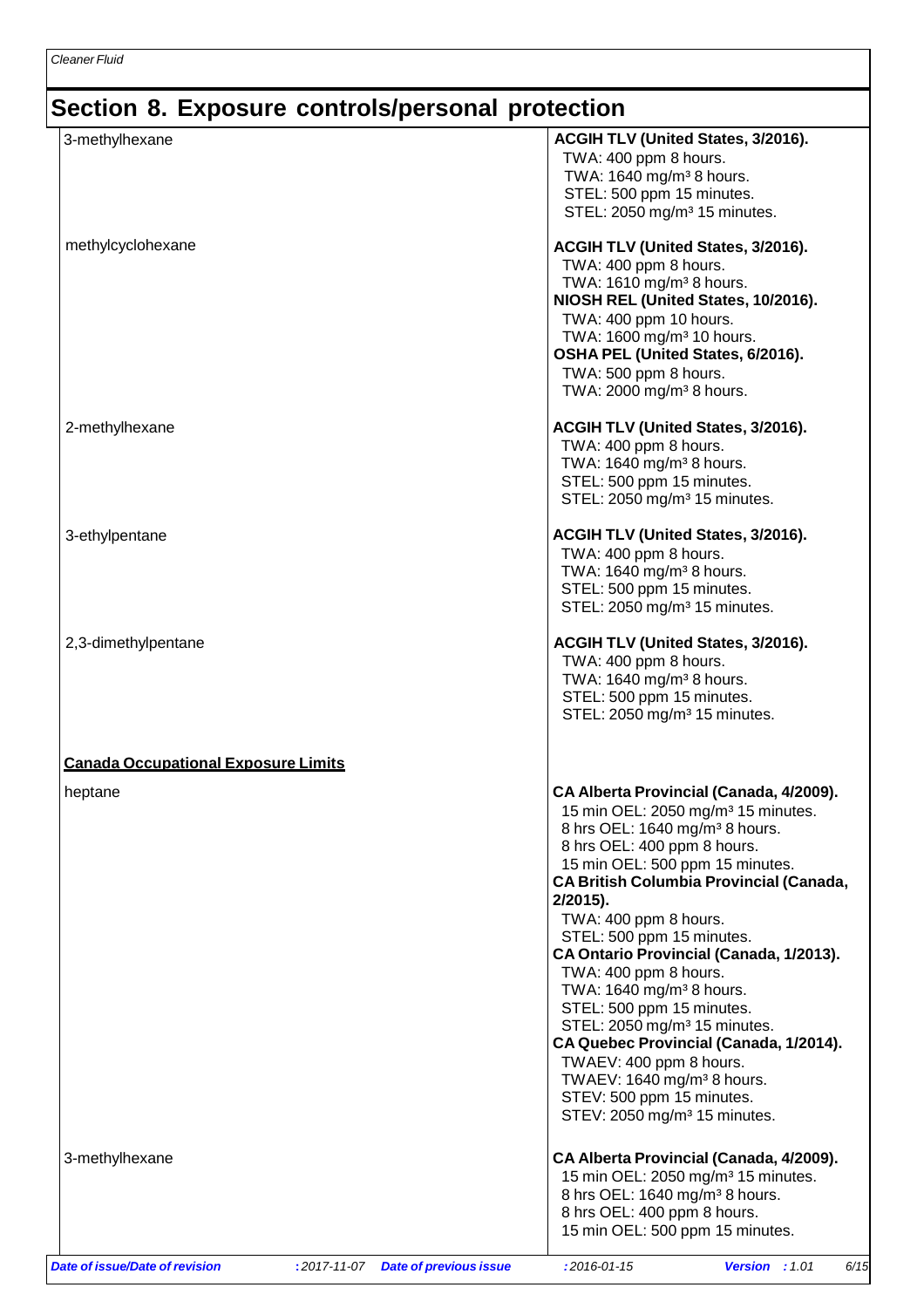## **Section 8. Exposure controls/personal protection**

| 3-methylhexane                             | ACGIH TLV (United States, 3/2016).<br>TWA: 400 ppm 8 hours.<br>TWA: 1640 mg/m <sup>3</sup> 8 hours.<br>STEL: 500 ppm 15 minutes.<br>STEL: 2050 mg/m <sup>3</sup> 15 minutes.                                                                                                                                                                                                                                                                                                                                                                                                                                                                                                                               |
|--------------------------------------------|------------------------------------------------------------------------------------------------------------------------------------------------------------------------------------------------------------------------------------------------------------------------------------------------------------------------------------------------------------------------------------------------------------------------------------------------------------------------------------------------------------------------------------------------------------------------------------------------------------------------------------------------------------------------------------------------------------|
| methylcyclohexane                          | ACGIH TLV (United States, 3/2016).<br>TWA: 400 ppm 8 hours.<br>TWA: 1610 mg/m <sup>3</sup> 8 hours.<br>NIOSH REL (United States, 10/2016).<br>TWA: 400 ppm 10 hours.<br>TWA: 1600 mg/m <sup>3</sup> 10 hours.<br>OSHA PEL (United States, 6/2016).<br>TWA: 500 ppm 8 hours.<br>TWA: 2000 mg/m <sup>3</sup> 8 hours.                                                                                                                                                                                                                                                                                                                                                                                        |
| 2-methylhexane                             | ACGIH TLV (United States, 3/2016).<br>TWA: 400 ppm 8 hours.<br>TWA: 1640 mg/m <sup>3</sup> 8 hours.<br>STEL: 500 ppm 15 minutes.<br>STEL: 2050 mg/m <sup>3</sup> 15 minutes.                                                                                                                                                                                                                                                                                                                                                                                                                                                                                                                               |
| 3-ethylpentane                             | <b>ACGIH TLV (United States, 3/2016).</b><br>TWA: 400 ppm 8 hours.<br>TWA: 1640 mg/m <sup>3</sup> 8 hours.<br>STEL: 500 ppm 15 minutes.<br>STEL: 2050 mg/m <sup>3</sup> 15 minutes.                                                                                                                                                                                                                                                                                                                                                                                                                                                                                                                        |
| 2,3-dimethylpentane                        | <b>ACGIH TLV (United States, 3/2016).</b><br>TWA: 400 ppm 8 hours.<br>TWA: 1640 mg/m <sup>3</sup> 8 hours.<br>STEL: 500 ppm 15 minutes.<br>STEL: 2050 mg/m <sup>3</sup> 15 minutes.                                                                                                                                                                                                                                                                                                                                                                                                                                                                                                                        |
| <b>Canada Occupational Exposure Limits</b> |                                                                                                                                                                                                                                                                                                                                                                                                                                                                                                                                                                                                                                                                                                            |
| heptane                                    | CA Alberta Provincial (Canada, 4/2009).<br>15 min OEL: 2050 mg/m <sup>3</sup> 15 minutes.<br>8 hrs OEL: 1640 mg/m <sup>3</sup> 8 hours.<br>8 hrs OEL: 400 ppm 8 hours.<br>15 min OEL: 500 ppm 15 minutes.<br><b>CA British Columbia Provincial (Canada,</b><br>2/2015).<br>TWA: 400 ppm 8 hours.<br>STEL: 500 ppm 15 minutes.<br>CA Ontario Provincial (Canada, 1/2013).<br>TWA: 400 ppm 8 hours.<br>TWA: 1640 mg/m <sup>3</sup> 8 hours.<br>STEL: 500 ppm 15 minutes.<br>STEL: 2050 mg/m <sup>3</sup> 15 minutes.<br>CA Quebec Provincial (Canada, 1/2014).<br>TWAEV: 400 ppm 8 hours.<br>TWAEV: 1640 mg/m <sup>3</sup> 8 hours.<br>STEV: 500 ppm 15 minutes.<br>STEV: 2050 mg/m <sup>3</sup> 15 minutes. |
| 3-methylhexane                             | CA Alberta Provincial (Canada, 4/2009).<br>15 min OEL: 2050 mg/m <sup>3</sup> 15 minutes.<br>8 hrs OEL: 1640 mg/m <sup>3</sup> 8 hours.<br>8 hrs OEL: 400 ppm 8 hours.<br>15 min OEL: 500 ppm 15 minutes.                                                                                                                                                                                                                                                                                                                                                                                                                                                                                                  |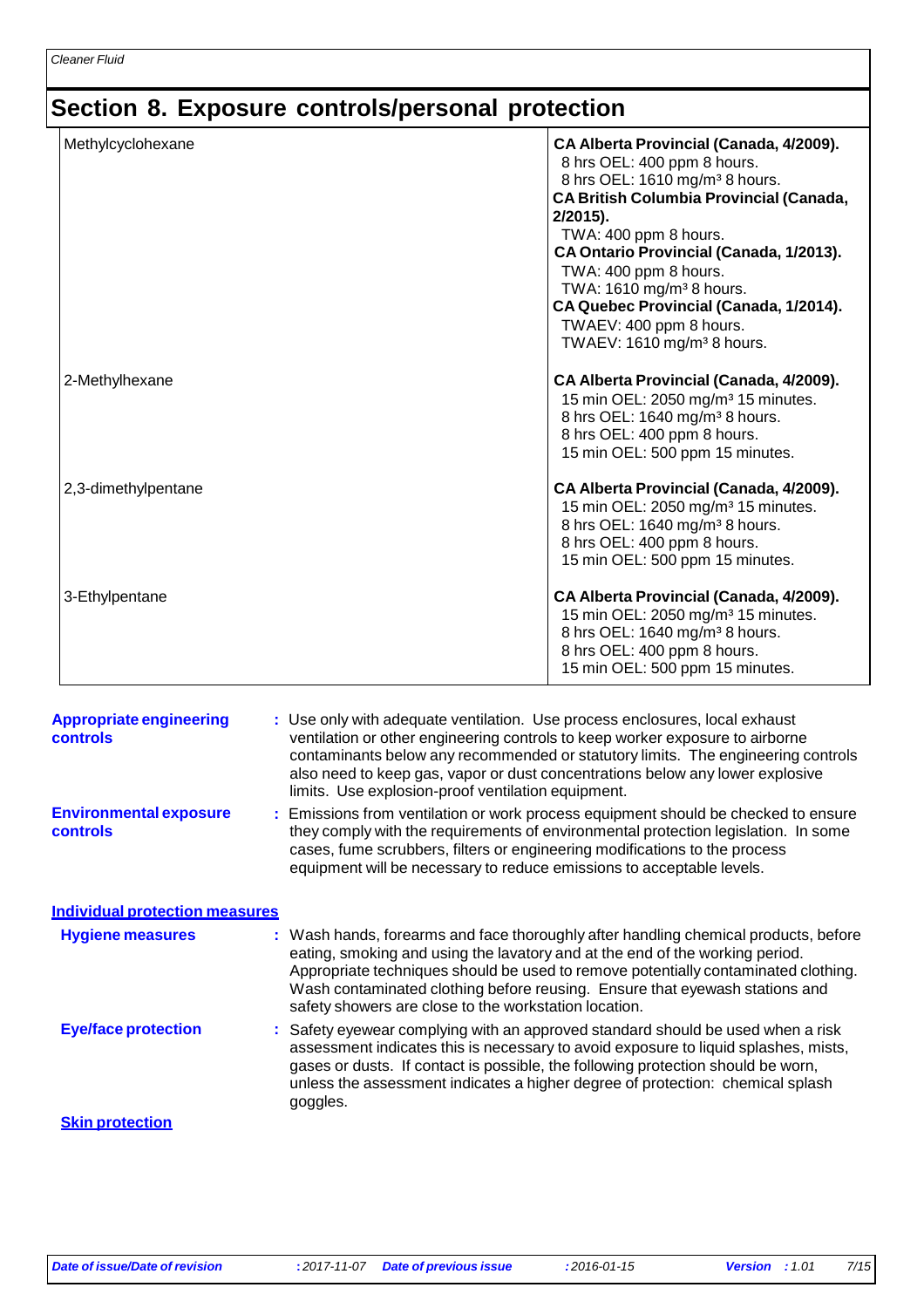## **Section 8. Exposure controls/personal protection**

| Methylcyclohexane   | CA Alberta Provincial (Canada, 4/2009).<br>8 hrs OEL: 400 ppm 8 hours.<br>8 hrs OEL: 1610 mg/m <sup>3</sup> 8 hours.<br><b>CA British Columbia Provincial (Canada,</b><br>$2/2015$ ).<br>TWA: 400 ppm 8 hours.<br>CA Ontario Provincial (Canada, 1/2013).<br>TWA: 400 ppm 8 hours.<br>TWA: 1610 mg/m <sup>3</sup> 8 hours.<br>CA Quebec Provincial (Canada, 1/2014).<br>TWAEV: 400 ppm 8 hours.<br>TWAEV: 1610 mg/m <sup>3</sup> 8 hours. |
|---------------------|-------------------------------------------------------------------------------------------------------------------------------------------------------------------------------------------------------------------------------------------------------------------------------------------------------------------------------------------------------------------------------------------------------------------------------------------|
| 2-Methylhexane      | CA Alberta Provincial (Canada, 4/2009).<br>15 min OEL: 2050 mg/m <sup>3</sup> 15 minutes.<br>8 hrs OEL: 1640 mg/m <sup>3</sup> 8 hours.<br>8 hrs OEL: 400 ppm 8 hours.<br>15 min OEL: 500 ppm 15 minutes.                                                                                                                                                                                                                                 |
| 2,3-dimethylpentane | CA Alberta Provincial (Canada, 4/2009).<br>15 min OEL: 2050 mg/m <sup>3</sup> 15 minutes.<br>8 hrs OEL: 1640 mg/m <sup>3</sup> 8 hours.<br>8 hrs OEL: 400 ppm 8 hours.<br>15 min OEL: 500 ppm 15 minutes.                                                                                                                                                                                                                                 |
| 3-Ethylpentane      | CA Alberta Provincial (Canada, 4/2009).<br>15 min OEL: 2050 mg/m <sup>3</sup> 15 minutes.<br>8 hrs OEL: 1640 mg/m <sup>3</sup> 8 hours.<br>8 hrs OEL: 400 ppm 8 hours.<br>15 min OEL: 500 ppm 15 minutes.                                                                                                                                                                                                                                 |

| <b>Appropriate engineering</b><br>controls | : Use only with adequate ventilation. Use process enclosures, local exhaust<br>ventilation or other engineering controls to keep worker exposure to airborne<br>contaminants below any recommended or statutory limits. The engineering controls<br>also need to keep gas, vapor or dust concentrations below any lower explosive<br>limits. Use explosion-proof ventilation equipment.           |
|--------------------------------------------|---------------------------------------------------------------------------------------------------------------------------------------------------------------------------------------------------------------------------------------------------------------------------------------------------------------------------------------------------------------------------------------------------|
| <b>Environmental exposure</b><br>controls  | : Emissions from ventilation or work process equipment should be checked to ensure<br>they comply with the requirements of environmental protection legislation. In some<br>cases, fume scrubbers, filters or engineering modifications to the process<br>equipment will be necessary to reduce emissions to acceptable levels.                                                                   |
| <b>Individual protection measures</b>      |                                                                                                                                                                                                                                                                                                                                                                                                   |
| <b>Hygiene measures</b>                    | : Wash hands, forearms and face thoroughly after handling chemical products, before<br>eating, smoking and using the lavatory and at the end of the working period.<br>Appropriate techniques should be used to remove potentially contaminated clothing.<br>Wash contaminated clothing before reusing. Ensure that eyewash stations and<br>safety showers are close to the workstation location. |
| <b>Eye/face protection</b>                 | : Safety eyewear complying with an approved standard should be used when a risk<br>assessment indicates this is necessary to avoid exposure to liquid splashes, mists,<br>gases or dusts. If contact is possible, the following protection should be worn,<br>unless the assessment indicates a higher degree of protection: chemical splash<br>goggles.                                          |
| <b>Skin protection</b>                     |                                                                                                                                                                                                                                                                                                                                                                                                   |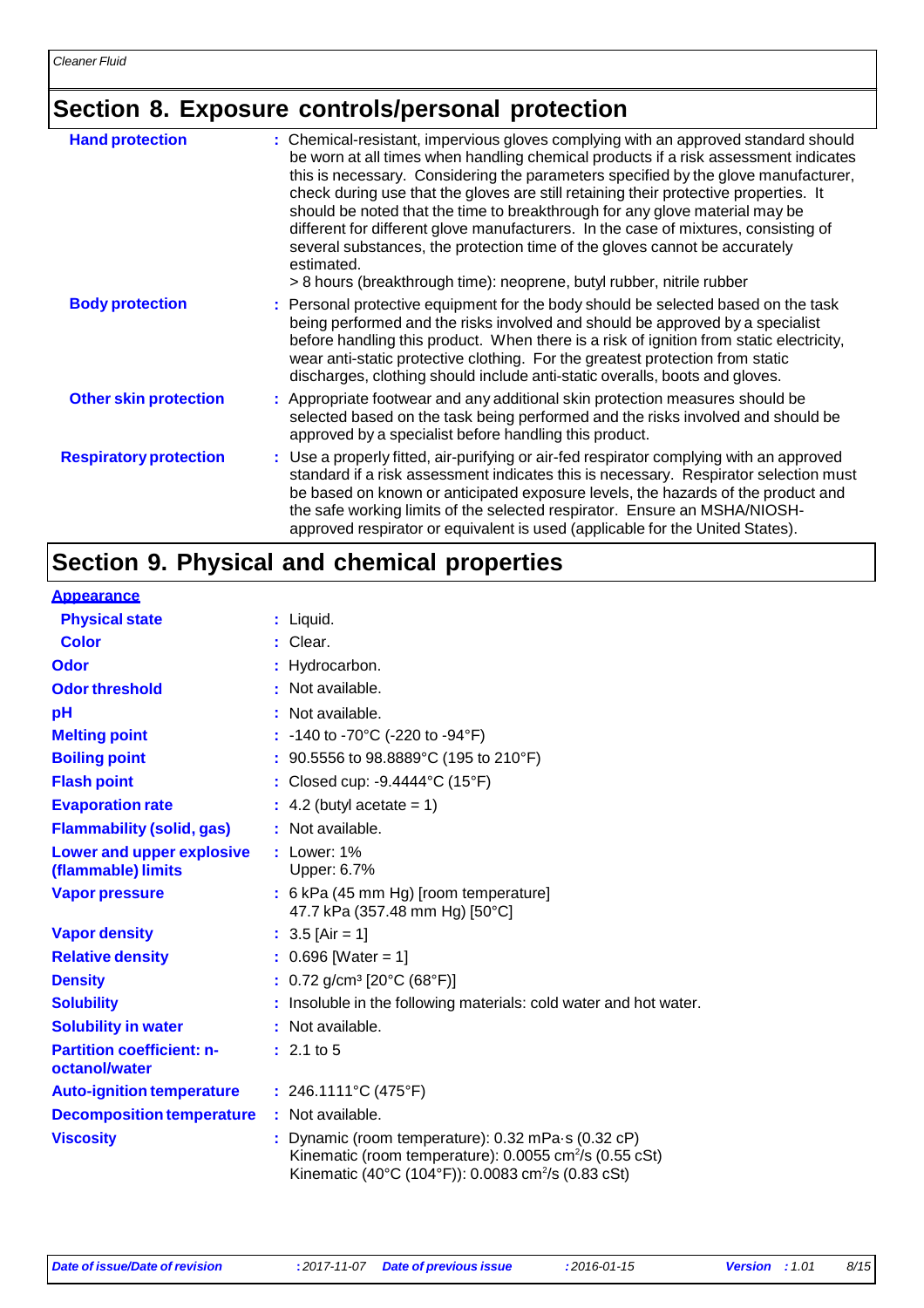## **Section 8. Exposure controls/personal protection**

| <b>Hand protection</b>        | : Chemical-resistant, impervious gloves complying with an approved standard should<br>be worn at all times when handling chemical products if a risk assessment indicates<br>this is necessary. Considering the parameters specified by the glove manufacturer,<br>check during use that the gloves are still retaining their protective properties. It<br>should be noted that the time to breakthrough for any glove material may be<br>different for different glove manufacturers. In the case of mixtures, consisting of<br>several substances, the protection time of the gloves cannot be accurately<br>estimated.<br>> 8 hours (breakthrough time): neoprene, butyl rubber, nitrile rubber |
|-------------------------------|----------------------------------------------------------------------------------------------------------------------------------------------------------------------------------------------------------------------------------------------------------------------------------------------------------------------------------------------------------------------------------------------------------------------------------------------------------------------------------------------------------------------------------------------------------------------------------------------------------------------------------------------------------------------------------------------------|
| <b>Body protection</b>        | : Personal protective equipment for the body should be selected based on the task<br>being performed and the risks involved and should be approved by a specialist<br>before handling this product. When there is a risk of ignition from static electricity,<br>wear anti-static protective clothing. For the greatest protection from static<br>discharges, clothing should include anti-static overalls, boots and gloves.                                                                                                                                                                                                                                                                      |
| <b>Other skin protection</b>  | : Appropriate footwear and any additional skin protection measures should be<br>selected based on the task being performed and the risks involved and should be<br>approved by a specialist before handling this product.                                                                                                                                                                                                                                                                                                                                                                                                                                                                          |
| <b>Respiratory protection</b> | : Use a properly fitted, air-purifying or air-fed respirator complying with an approved<br>standard if a risk assessment indicates this is necessary. Respirator selection must<br>be based on known or anticipated exposure levels, the hazards of the product and<br>the safe working limits of the selected respirator. Ensure an MSHA/NIOSH-<br>approved respirator or equivalent is used (applicable for the United States).                                                                                                                                                                                                                                                                  |

### **Section 9. Physical and chemical properties**

| <b>Appearance</b>                                      |                                                                                                                                                                                                      |
|--------------------------------------------------------|------------------------------------------------------------------------------------------------------------------------------------------------------------------------------------------------------|
| <b>Physical state</b>                                  | : Liquid.                                                                                                                                                                                            |
| <b>Color</b>                                           | : Clear.                                                                                                                                                                                             |
| <b>Odor</b>                                            | : Hydrocarbon.                                                                                                                                                                                       |
| <b>Odor threshold</b>                                  | : Not available.                                                                                                                                                                                     |
| pH                                                     | : Not available.                                                                                                                                                                                     |
| <b>Melting point</b>                                   | : -140 to -70°C (-220 to -94°F)                                                                                                                                                                      |
| <b>Boiling point</b>                                   | : 90.5556 to 98.8889°C (195 to 210°F)                                                                                                                                                                |
| <b>Flash point</b>                                     | : Closed cup: $-9.4444^{\circ}$ C (15 $^{\circ}$ F)                                                                                                                                                  |
| <b>Evaporation rate</b>                                | $\therefore$ 4.2 (butyl acetate = 1)                                                                                                                                                                 |
| <b>Flammability (solid, gas)</b>                       | : Not available.                                                                                                                                                                                     |
| <b>Lower and upper explosive</b><br>(flammable) limits | $:$ Lower: 1%<br>Upper: 6.7%                                                                                                                                                                         |
| <b>Vapor pressure</b>                                  | : 6 kPa (45 mm Hg) [room temperature]<br>47.7 kPa (357.48 mm Hg) [50°C]                                                                                                                              |
| <b>Vapor density</b>                                   | : $3.5$ [Air = 1]                                                                                                                                                                                    |
| <b>Relative density</b>                                | $: 0.696$ [Water = 1]                                                                                                                                                                                |
| <b>Density</b>                                         | : $0.72$ g/cm <sup>3</sup> [20°C (68°F)]                                                                                                                                                             |
| <b>Solubility</b>                                      | : Insoluble in the following materials: cold water and hot water.                                                                                                                                    |
| <b>Solubility in water</b>                             | : Not available.                                                                                                                                                                                     |
| <b>Partition coefficient: n-</b><br>octanol/water      | : 2.1 to 5                                                                                                                                                                                           |
| <b>Auto-ignition temperature</b>                       | : 246.1111°C (475°F)                                                                                                                                                                                 |
| <b>Decomposition temperature</b>                       | : Not available.                                                                                                                                                                                     |
| <b>Viscosity</b>                                       | : Dynamic (room temperature): $0.32$ mPa $\cdot$ s (0.32 cP)<br>Kinematic (room temperature): 0.0055 cm <sup>2</sup> /s (0.55 cSt)<br>Kinematic (40°C (104°F)): 0.0083 cm <sup>2</sup> /s (0.83 cSt) |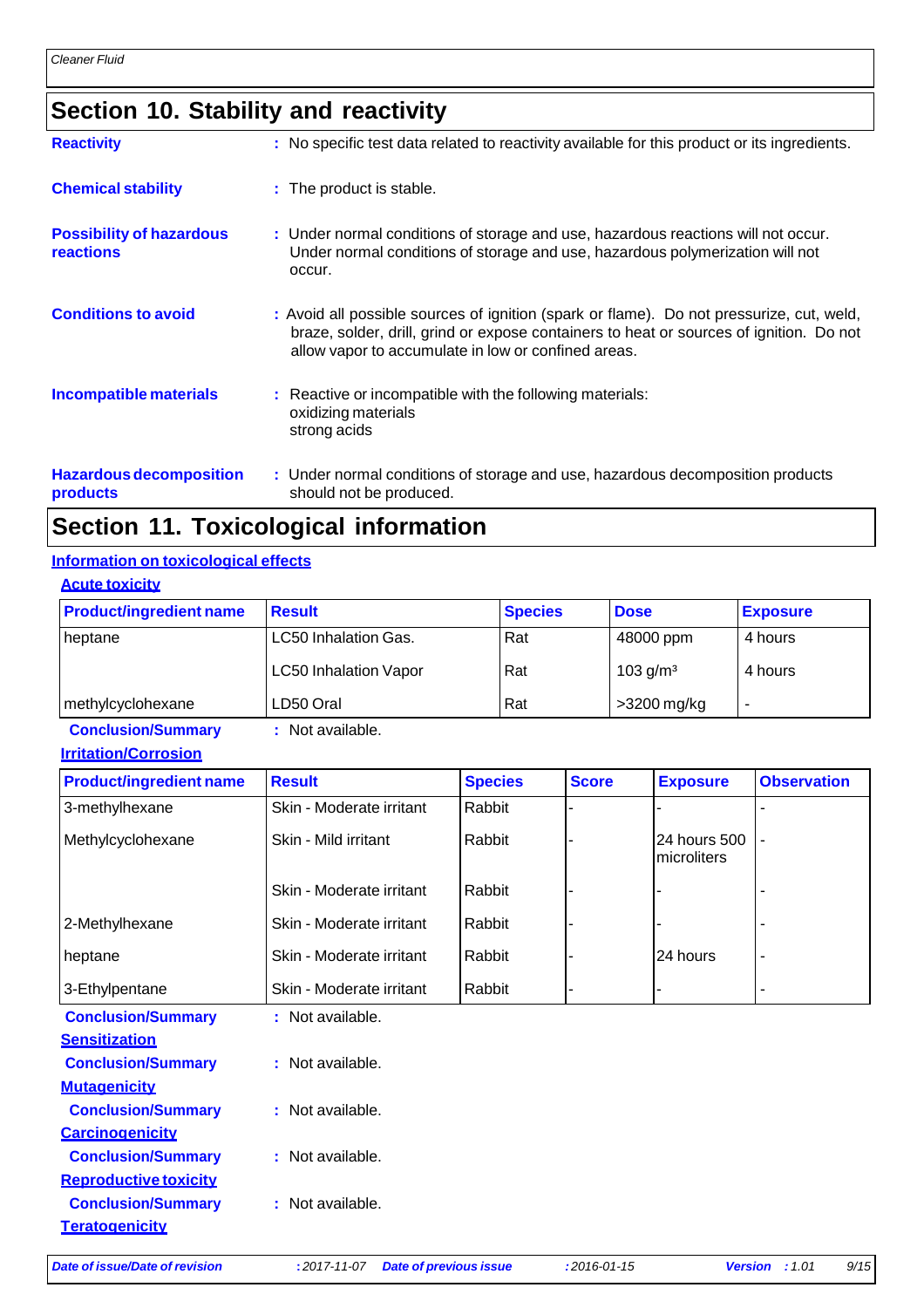## **Section 10. Stability and reactivity**

| <b>Reactivity</b>                                   | : No specific test data related to reactivity available for this product or its ingredients.                                                                                                                                               |
|-----------------------------------------------------|--------------------------------------------------------------------------------------------------------------------------------------------------------------------------------------------------------------------------------------------|
| <b>Chemical stability</b>                           | : The product is stable.                                                                                                                                                                                                                   |
| <b>Possibility of hazardous</b><br><b>reactions</b> | : Under normal conditions of storage and use, hazardous reactions will not occur.<br>Under normal conditions of storage and use, hazardous polymerization will not<br>occur.                                                               |
| <b>Conditions to avoid</b>                          | : Avoid all possible sources of ignition (spark or flame). Do not pressurize, cut, weld,<br>braze, solder, drill, grind or expose containers to heat or sources of ignition. Do not<br>allow vapor to accumulate in low or confined areas. |
| Incompatible materials                              | : Reactive or incompatible with the following materials:<br>oxidizing materials<br>strong acids                                                                                                                                            |
| <b>Hazardous decomposition</b><br>products          | : Under normal conditions of storage and use, hazardous decomposition products<br>should not be produced.                                                                                                                                  |

### **Section 11. Toxicological information**

#### **Information on toxicological effects**

| <b>Acute toxicity</b> |  |
|-----------------------|--|
|                       |  |

| <b>Product/ingredient name</b> | <b>Result</b>                | <b>Species</b> | <b>Dose</b> | <b>Exposure</b> |
|--------------------------------|------------------------------|----------------|-------------|-----------------|
| heptane                        | <b>LC50 Inhalation Gas.</b>  | Rat            | 48000 ppm   | 4 hours         |
|                                | <b>LC50 Inhalation Vapor</b> | Rat            | 103 $g/m3$  | 4 hours         |
| methylcyclohexane              | LD50 Oral                    | Rat            | >3200 mg/kg | -               |

**Conclusion/Summary :** Not available.

| <b>Irritation/Corrosion</b> |
|-----------------------------|
|-----------------------------|

| <b>Product/ingredient name</b> | <b>Result</b>            | <b>Species</b> | <b>Score</b> | <b>Exposure</b>             | <b>Observation</b> |
|--------------------------------|--------------------------|----------------|--------------|-----------------------------|--------------------|
| 3-methylhexane                 | Skin - Moderate irritant | Rabbit         |              |                             |                    |
| Methylcyclohexane              | Skin - Mild irritant     | Rabbit         |              | 24 hours 500<br>microliters |                    |
|                                | Skin - Moderate irritant | Rabbit         |              |                             |                    |
| 2-Methylhexane                 | Skin - Moderate irritant | Rabbit         |              |                             |                    |
| heptane                        | Skin - Moderate irritant | Rabbit         |              | 24 hours                    |                    |
| 3-Ethylpentane                 | Skin - Moderate irritant | Rabbit         |              |                             |                    |
| <b>Conclusion/Summary</b>      | : Not available.         |                |              |                             |                    |
| <b>Sensitization</b>           |                          |                |              |                             |                    |
| <b>Conclusion/Summary</b>      | : Not available.         |                |              |                             |                    |
| <b>Mutagenicity</b>            |                          |                |              |                             |                    |
| <b>Conclusion/Summary</b>      | : Not available.         |                |              |                             |                    |
| <b>Carcinogenicity</b>         |                          |                |              |                             |                    |
| <b>Conclusion/Summary</b>      | : Not available.         |                |              |                             |                    |
| <b>Reproductive toxicity</b>   |                          |                |              |                             |                    |
| <b>Conclusion/Summary</b>      | : Not available.         |                |              |                             |                    |
| <b>Teratogenicity</b>          |                          |                |              |                             |                    |

*Date of issue/Date of revision* **:** *2017-11-07 Date of previous issue :2016-01-15 Version : 1.01 9/15*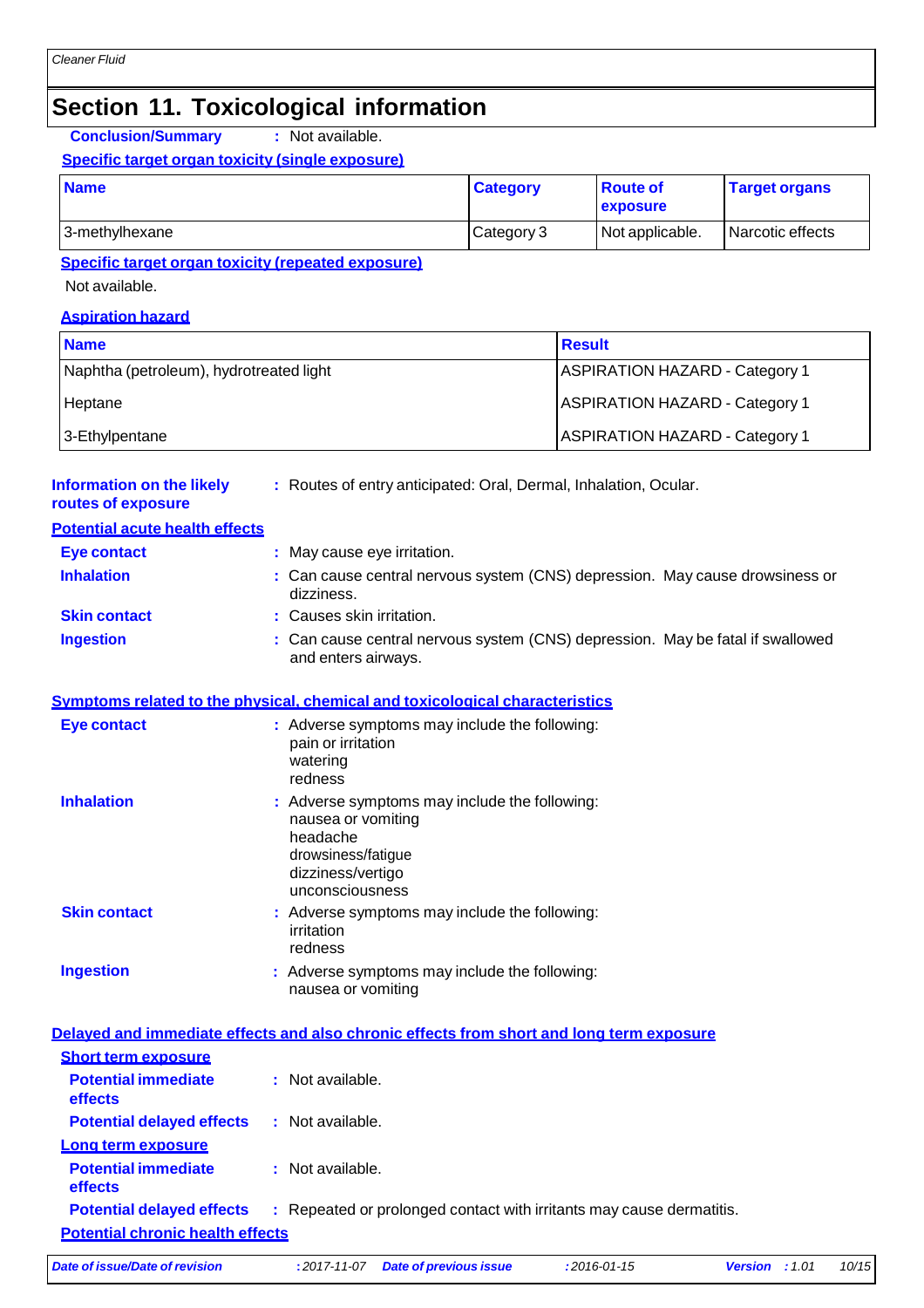### **Section 11. Toxicological information**

**Conclusion/Summary :** Not available.

#### **Specific target organ toxicity (single exposure)**

| <b>Name</b>    | <b>Category</b> | <b>Route of</b><br><b>exposure</b> | <b>Target organs</b> |
|----------------|-----------------|------------------------------------|----------------------|
| 3-methylhexane | Category 3      | Not applicable.                    | l Narcotic effects   |

### **Specific target organ toxicity (repeated exposure)**

Not available.

#### **Aspiration hazard**

| <b>Name</b>                             | <b>Result</b>                         |
|-----------------------------------------|---------------------------------------|
| Naphtha (petroleum), hydrotreated light | <b>ASPIRATION HAZARD - Category 1</b> |
| Heptane                                 | <b>ASPIRATION HAZARD - Category 1</b> |
| 3-Ethylpentane                          | <b>ASPIRATION HAZARD - Category 1</b> |

#### **Information on the likely routes of exposure :** Routes of entry anticipated: Oral, Dermal, Inhalation, Ocular.

| <b>Potential acute health effects</b> |  |
|---------------------------------------|--|
|---------------------------------------|--|

| <b>Eye contact</b>  | : May cause eye irritation.                                                                           |
|---------------------|-------------------------------------------------------------------------------------------------------|
| <b>Inhalation</b>   | : Can cause central nervous system (CNS) depression. May cause drowsiness or<br>dizziness.            |
| <b>Skin contact</b> | : Causes skin irritation.                                                                             |
| <b>Ingestion</b>    | : Can cause central nervous system (CNS) depression. May be fatal if swallowed<br>and enters airways. |

#### **Symptoms related to the physical, chemical and toxicological characteristics**

| <b>Eye contact</b>  | : Adverse symptoms may include the following:<br>pain or irritation<br>watering<br>redness                                                    |
|---------------------|-----------------------------------------------------------------------------------------------------------------------------------------------|
| <b>Inhalation</b>   | : Adverse symptoms may include the following:<br>nausea or vomiting<br>headache<br>drowsiness/fatigue<br>dizziness/vertigo<br>unconsciousness |
| <b>Skin contact</b> | : Adverse symptoms may include the following:<br>irritation<br>redness                                                                        |
| <b>Ingestion</b>    | : Adverse symptoms may include the following:<br>nausea or vomiting                                                                           |

#### **Delayed and immediate effects and also chronic effects from short and long term exposure Short term exposure Potential immediate effects :** Not available. **Potential delayed effects :** Not available. **Long term exposure Potential immediate effects :** Not available. **Potential delayed effects :** Repeated or prolonged contact with irritants may cause dermatitis. **Potential chronic health effects**

*Date of issue/Date of revision* **:** *2017-11-07 Date of previous issue :2016-01-15 Version : 1.01 10/15*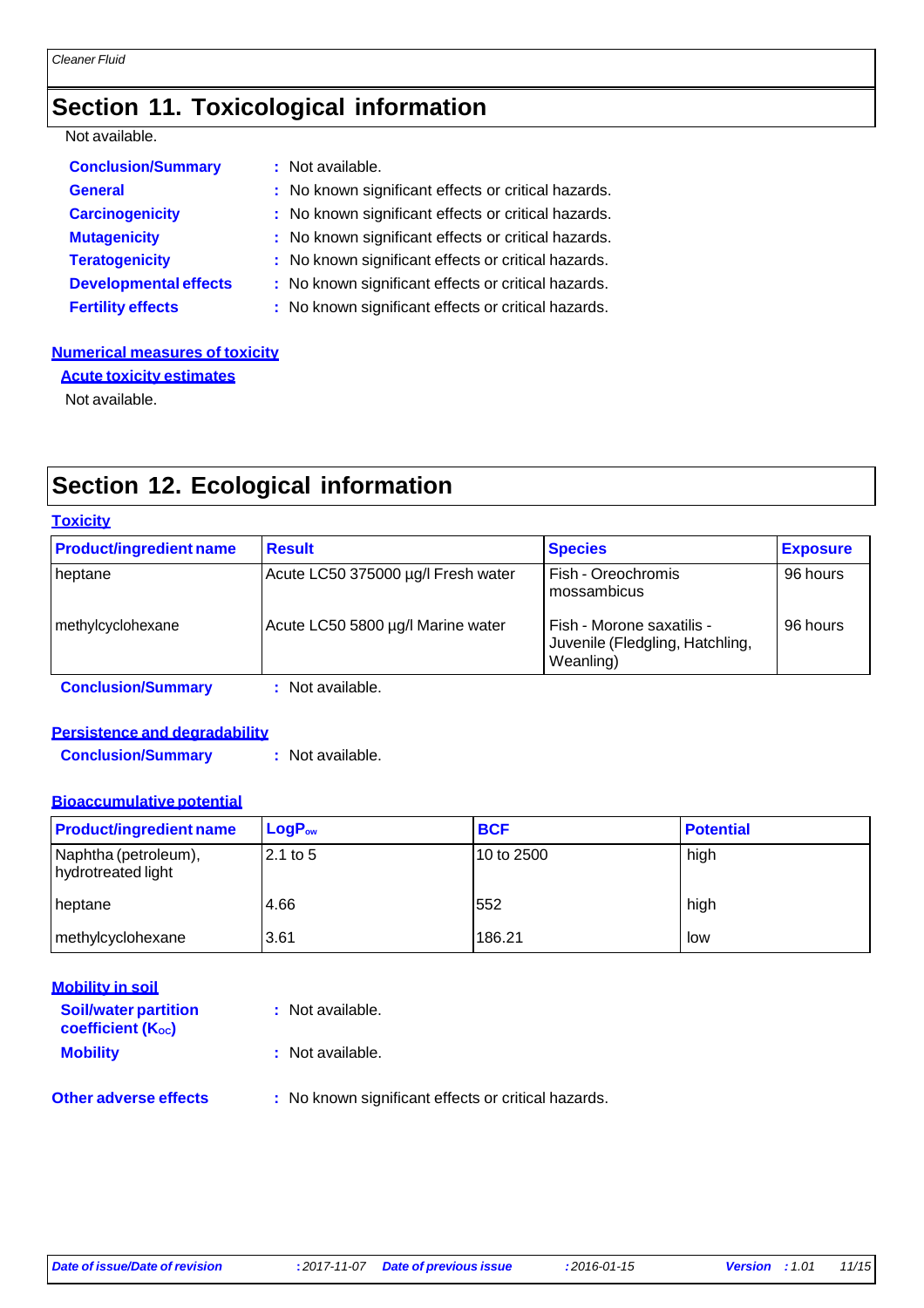### **Section 11. Toxicological information**

### Not available.

| <b>Conclusion/Summary</b>    | : Not available.                                    |
|------------------------------|-----------------------------------------------------|
| <b>General</b>               | : No known significant effects or critical hazards. |
| <b>Carcinogenicity</b>       | : No known significant effects or critical hazards. |
| <b>Mutagenicity</b>          | : No known significant effects or critical hazards. |
| <b>Teratogenicity</b>        | : No known significant effects or critical hazards. |
| <b>Developmental effects</b> | : No known significant effects or critical hazards. |
| <b>Fertility effects</b>     | : No known significant effects or critical hazards. |

#### **Numerical measures of toxicity**

**Acute toxicity estimates**

Not available.

## **Section 12. Ecological information**

#### **Toxicity**

| <b>Product/ingredient name</b> | <b>Result</b>                      | <b>Species</b>                                                            | <b>Exposure</b> |
|--------------------------------|------------------------------------|---------------------------------------------------------------------------|-----------------|
| heptane                        | Acute LC50 375000 µg/l Fresh water | Fish - Oreochromis<br>mossambicus                                         | 96 hours        |
| methylcyclohexane              | Acute LC50 5800 µg/l Marine water  | Fish - Morone saxatilis -<br>Juvenile (Fledgling, Hatchling,<br>Weanling) | 96 hours        |
| <b>Conclusion/Summary</b>      | : Not available.                   |                                                                           |                 |

### **Persistence and degradability**

**Conclusion/Summary :** Not available.

#### **Bioaccumulative potential**

| <b>Product/ingredient name</b>             | $LogP_{ow}$ | <b>BCF</b> | <b>Potential</b> |
|--------------------------------------------|-------------|------------|------------------|
| Naphtha (petroleum),<br>hydrotreated light | $2.1$ to 5  | 10 to 2500 | high             |
| heptane                                    | 4.66        | 552        | high             |
| methylcyclohexane                          | 3.61        | 186.21     | low              |

### **Mobility in soil**

| <b>Soil/water partition</b><br><b>coefficient (Koc)</b> | : Not available.                                    |
|---------------------------------------------------------|-----------------------------------------------------|
| <b>Mobility</b>                                         | : Not available.                                    |
| <b>Other adverse effects</b>                            | : No known significant effects or critical hazards. |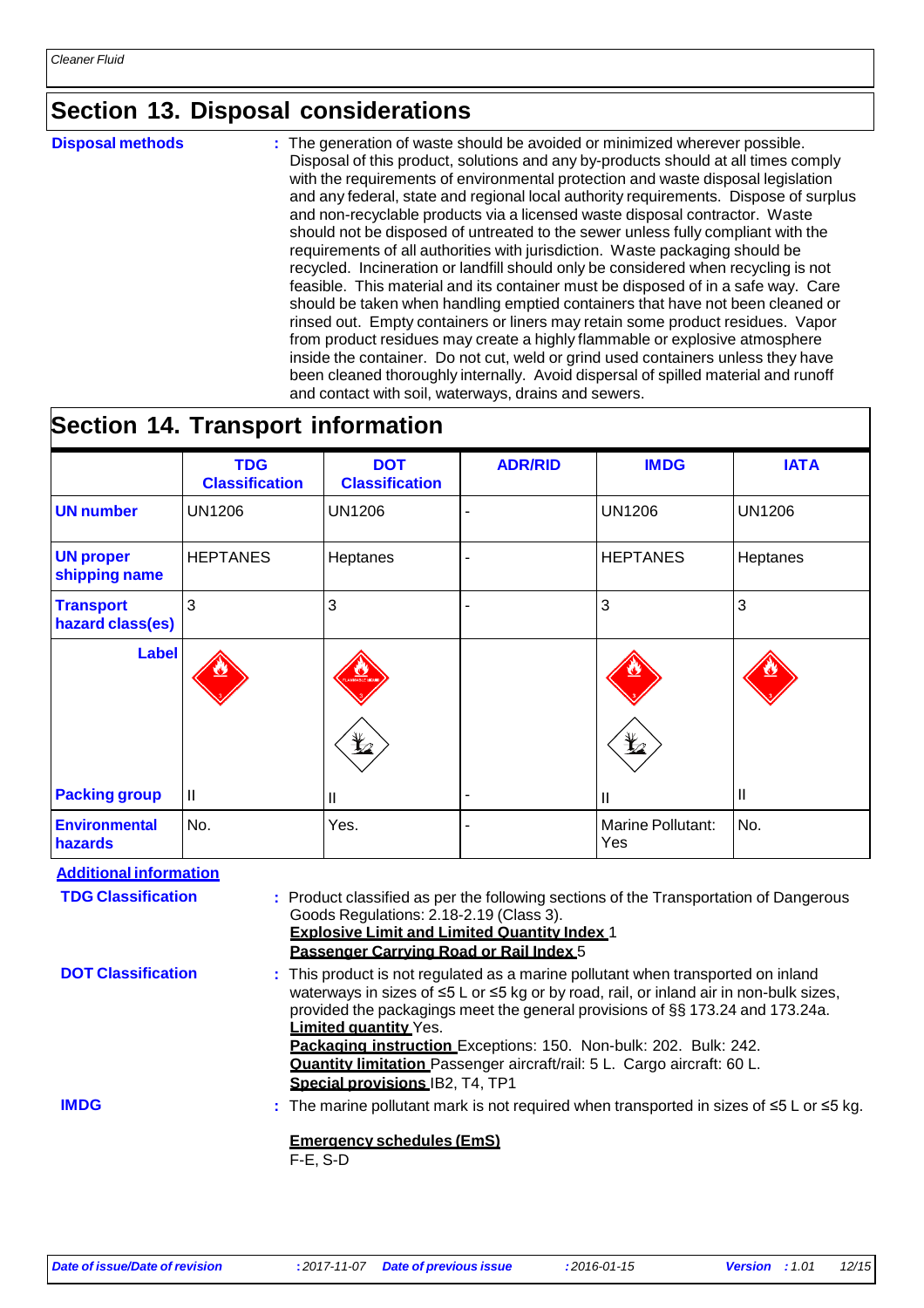### **Section 13. Disposal considerations**

**Disposal methods** : The generation of waste should be avoided or minimized wherever possible. Disposal of this product, solutions and any by-products should at all times comply with the requirements of environmental protection and waste disposal legislation and any federal, state and regional local authority requirements. Dispose of surplus and non-recyclable products via a licensed waste disposal contractor. Waste should not be disposed of untreated to the sewer unless fully compliant with the requirements of all authorities with jurisdiction. Waste packaging should be recycled. Incineration or landfill should only be considered when recycling is not feasible. This material and its container must be disposed of in a safe way. Care should be taken when handling emptied containers that have not been cleaned or rinsed out. Empty containers or liners may retain some product residues. Vapor from product residues may create a highly flammable or explosive atmosphere inside the container. Do not cut, weld or grind used containers unless they have been cleaned thoroughly internally. Avoid dispersal of spilled material and runoff and contact with soil, waterways, drains and sewers.

### **Section 14. Transport information**

|                                                                                                                                                                                                                                                                                                                                                                                                                                                                                                            | <b>TDG</b><br><b>Classification</b> | <b>DOT</b><br><b>Classification</b> | <b>ADR/RID</b>                                                                                      | <b>IMDG</b>              | <b>IATA</b>   |
|------------------------------------------------------------------------------------------------------------------------------------------------------------------------------------------------------------------------------------------------------------------------------------------------------------------------------------------------------------------------------------------------------------------------------------------------------------------------------------------------------------|-------------------------------------|-------------------------------------|-----------------------------------------------------------------------------------------------------|--------------------------|---------------|
| <b>UN number</b>                                                                                                                                                                                                                                                                                                                                                                                                                                                                                           | <b>UN1206</b>                       | <b>UN1206</b>                       |                                                                                                     | <b>UN1206</b>            | <b>UN1206</b> |
| <b>UN proper</b><br>shipping name                                                                                                                                                                                                                                                                                                                                                                                                                                                                          | <b>HEPTANES</b>                     | Heptanes                            |                                                                                                     | <b>HEPTANES</b>          | Heptanes      |
| <b>Transport</b><br>hazard class(es)                                                                                                                                                                                                                                                                                                                                                                                                                                                                       | 3                                   | 3                                   |                                                                                                     | 3                        | 3             |
| <b>Label</b>                                                                                                                                                                                                                                                                                                                                                                                                                                                                                               |                                     |                                     |                                                                                                     |                          |               |
| <b>Packing group</b>                                                                                                                                                                                                                                                                                                                                                                                                                                                                                       | $\mathbf{H}$                        | Ш                                   |                                                                                                     | Ш                        | Ш             |
| <b>Environmental</b><br>hazards                                                                                                                                                                                                                                                                                                                                                                                                                                                                            | No.                                 | Yes.                                |                                                                                                     | Marine Pollutant:<br>Yes | No.           |
| <b>Additional information</b>                                                                                                                                                                                                                                                                                                                                                                                                                                                                              |                                     |                                     |                                                                                                     |                          |               |
| <b>TDG Classification</b><br>: Product classified as per the following sections of the Transportation of Dangerous<br>Goods Regulations: 2.18-2.19 (Class 3).<br><b>Explosive Limit and Limited Quantity Index 1</b><br>Passenger Carrving Road or Rail Index 5                                                                                                                                                                                                                                            |                                     |                                     |                                                                                                     |                          |               |
| <b>DOT Classification</b><br>: This product is not regulated as a marine pollutant when transported on inland<br>waterways in sizes of ≤5 L or ≤5 kg or by road, rail, or inland air in non-bulk sizes,<br>provided the packagings meet the general provisions of §§ 173.24 and 173.24a.<br><b>Limited quantity Yes.</b><br>Packaging instruction Exceptions: 150. Non-bulk: 202. Bulk: 242.<br>Quantity limitation Passenger aircraft/rail: 5 L. Cargo aircraft: 60 L.<br>Special provisions IB2, T4, TP1 |                                     |                                     |                                                                                                     |                          |               |
| <b>IMDG</b>                                                                                                                                                                                                                                                                                                                                                                                                                                                                                                | $F-E$ , S-D                         | <b>Emergency schedules (EmS)</b>    | : The marine pollutant mark is not required when transported in sizes of $\leq 5$ L or $\leq 5$ kg. |                          |               |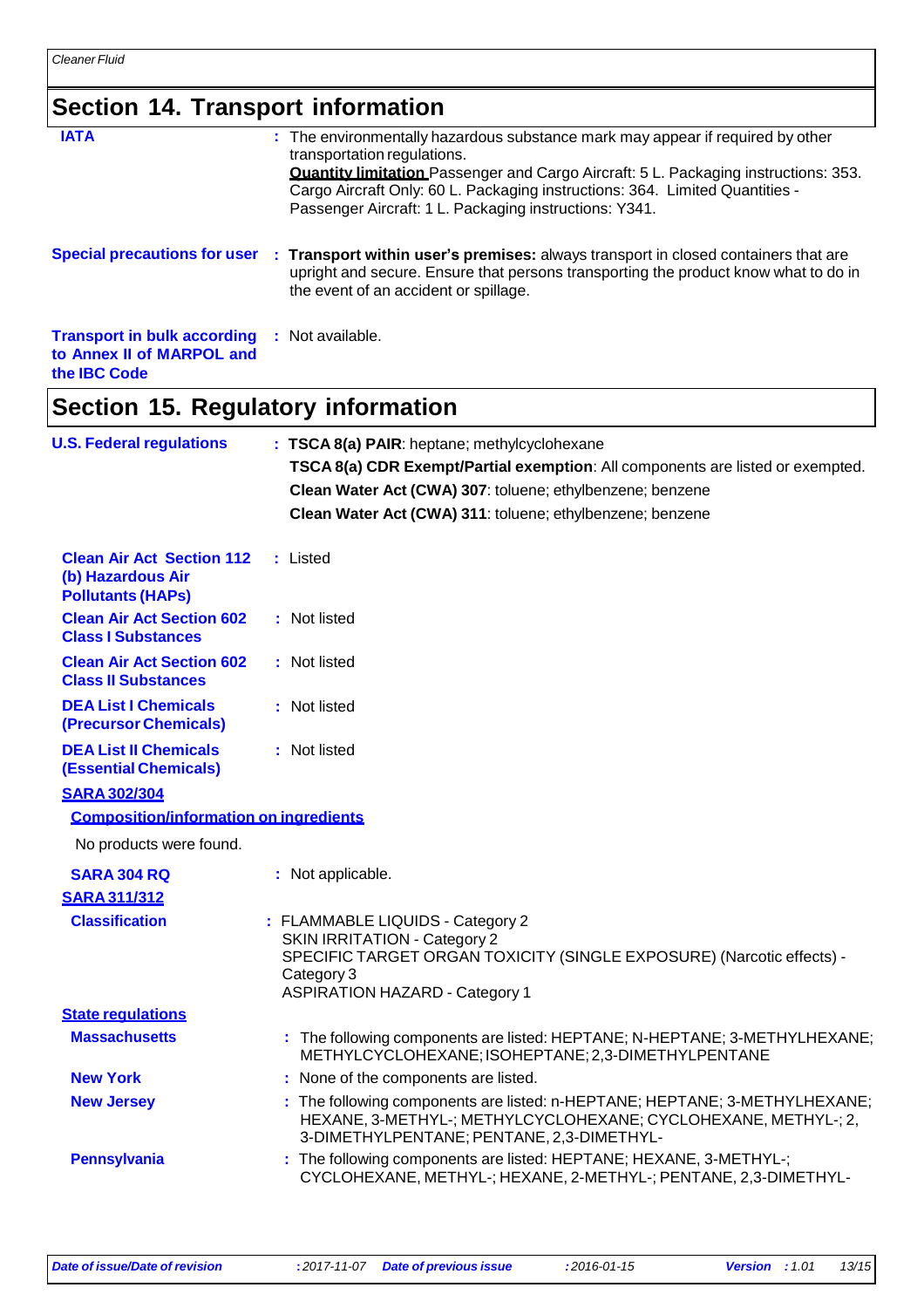## **Section 14. Transport information**

| Section 14. Transport information                                                 |                                                                                                                                                                                                                                                                                                                                                       |
|-----------------------------------------------------------------------------------|-------------------------------------------------------------------------------------------------------------------------------------------------------------------------------------------------------------------------------------------------------------------------------------------------------------------------------------------------------|
| <b>IATA</b>                                                                       | : The environmentally hazardous substance mark may appear if required by other<br>transportation regulations.<br><b>Quantity limitation</b> Passenger and Cargo Aircraft: 5 L. Packaging instructions: 353.<br>Cargo Aircraft Only: 60 L. Packaging instructions: 364. Limited Quantities -<br>Passenger Aircraft: 1 L. Packaging instructions: Y341. |
|                                                                                   | Special precautions for user : Transport within user's premises: always transport in closed containers that are<br>upright and secure. Ensure that persons transporting the product know what to do in<br>the event of an accident or spillage.                                                                                                       |
| <b>Transport in bulk according</b><br>to Annex II of MARPOL and<br>the IBC Code   | : Not available.                                                                                                                                                                                                                                                                                                                                      |
| Section 15. Regulatory information                                                |                                                                                                                                                                                                                                                                                                                                                       |
| <b>U.S. Federal regulations</b>                                                   | : TSCA 8(a) PAIR: heptane; methylcyclohexane<br>TSCA 8(a) CDR Exempt/Partial exemption: All components are listed or exempted.<br>Clean Water Act (CWA) 307: toluene; ethylbenzene; benzene<br>Clean Water Act (CWA) 311: toluene; ethylbenzene; benzene                                                                                              |
| <b>Clean Air Act Section 112</b><br>(b) Hazardous Air<br><b>Pollutants (HAPS)</b> | : Listed                                                                                                                                                                                                                                                                                                                                              |
| <b>Clean Air Act Section 602</b><br><b>Class I Substances</b>                     | : Not listed                                                                                                                                                                                                                                                                                                                                          |
| <b>Clean Air Act Section 602</b><br><b>Class II Substances</b>                    | : Not listed                                                                                                                                                                                                                                                                                                                                          |
| <b>DEA List I Chemicals</b><br>(Precursor Chemicals)                              | : Not listed                                                                                                                                                                                                                                                                                                                                          |
| <b>DEA List II Chemicals</b><br><b>(Essential Chemicals)</b>                      | : Not listed                                                                                                                                                                                                                                                                                                                                          |
| <b>SARA 302/304</b>                                                               |                                                                                                                                                                                                                                                                                                                                                       |
| <b>Composition/information on ingredients</b>                                     |                                                                                                                                                                                                                                                                                                                                                       |
| No products were found.                                                           |                                                                                                                                                                                                                                                                                                                                                       |
| <b>SARA 304 RQ</b>                                                                | : Not applicable.                                                                                                                                                                                                                                                                                                                                     |
| <b>SARA 311/312</b>                                                               |                                                                                                                                                                                                                                                                                                                                                       |
| <b>Classification</b>                                                             | : FLAMMABLE LIQUIDS - Category 2<br><b>SKIN IRRITATION - Category 2</b><br>SPECIFIC TARGET ORGAN TOXICITY (SINGLE EXPOSURE) (Narcotic effects) -<br>Category 3<br><b>ASPIRATION HAZARD - Category 1</b>                                                                                                                                               |
| <b>State regulations</b>                                                          |                                                                                                                                                                                                                                                                                                                                                       |
| <b>Massachusetts</b>                                                              | : The following components are listed: HEPTANE; N-HEPTANE; 3-METHYLHEXANE;<br>METHYLCYCLOHEXANE; ISOHEPTANE; 2,3-DIMETHYLPENTANE                                                                                                                                                                                                                      |
| <b>New York</b>                                                                   | : None of the components are listed.                                                                                                                                                                                                                                                                                                                  |
| <b>New Jersey</b>                                                                 | : The following components are listed: n-HEPTANE; HEPTANE; 3-METHYLHEXANE;<br>HEXANE, 3-METHYL-; METHYLCYCLOHEXANE; CYCLOHEXANE, METHYL-; 2,<br>3-DIMETHYLPENTANE; PENTANE, 2,3-DIMETHYL-                                                                                                                                                             |
| <b>Pennsylvania</b>                                                               | : The following components are listed: HEPTANE; HEXANE, 3-METHYL-;<br>CYCLOHEXANE, METHYL-; HEXANE, 2-METHYL-; PENTANE, 2,3-DIMETHYL-                                                                                                                                                                                                                 |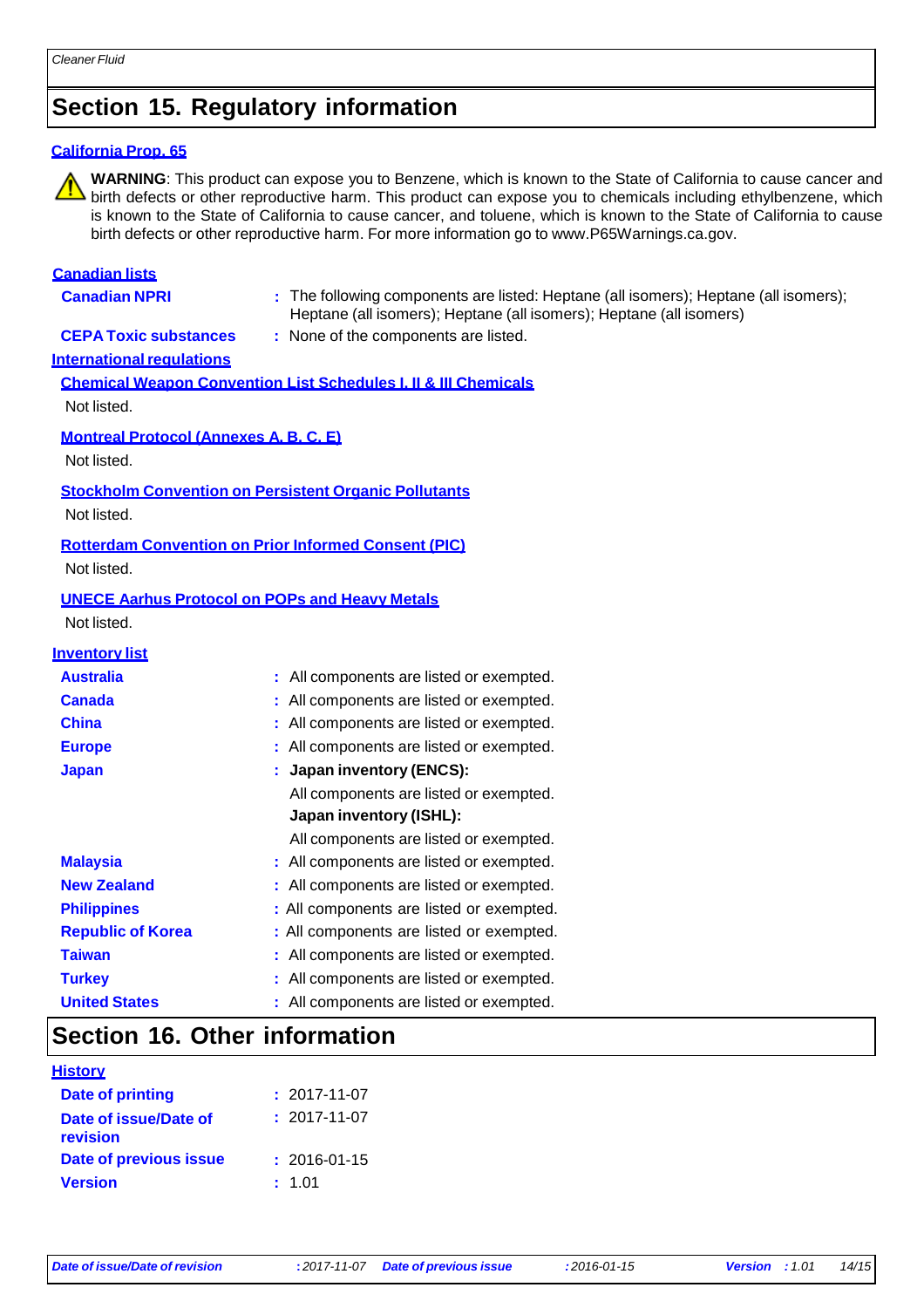### **Section 15. Regulatory information**

#### **California Prop. 65**

**WARNING**: This product can expose you to Benzene, which is known to the State of California to cause cancer and  $\Delta$  birth defects or other reproductive harm. This product can expose you to chemicals including ethylbenzene, which is known to the State of California to cause cancer, and toluene, which is known to the State of California to cause birth defects or other reproductive harm. For more information go to [www.P65Warnings.ca.gov.](http://www.p65warnings.ca.gov/)

#### **Canadian lists**

- 
- **Canadian NPRI :** The following components are listed: Heptane (all isomers); Heptane (all isomers); Heptane (all isomers); Heptane (all isomers); Heptane (all isomers)

**CEPA Toxic substances :** None of the components are listed.

#### **International regulations**

**Chemical Weapon Convention List Schedules I, II & III Chemicals** Not listed.

#### **Montreal Protocol (Annexes A, B, C, E)**

Not listed.

#### **Stockholm Convention on Persistent Organic Pollutants**

Not listed.

#### **Rotterdam Convention on Prior Informed Consent (PIC)**

Not listed.

### **UNECE Aarhus Protocol on POPs and Heavy Metals**

Not listed.

#### **Inventory list**

| <b>Australia</b>         | All components are listed or exempted.   |
|--------------------------|------------------------------------------|
| <b>Canada</b>            | All components are listed or exempted.   |
| <b>China</b>             | All components are listed or exempted.   |
| <b>Europe</b>            | All components are listed or exempted.   |
| <b>Japan</b>             | Japan inventory (ENCS):                  |
|                          | All components are listed or exempted.   |
|                          | <b>Japan inventory (ISHL):</b>           |
|                          | All components are listed or exempted.   |
| <b>Malaysia</b>          | : All components are listed or exempted. |
| <b>New Zealand</b>       | : All components are listed or exempted. |
| <b>Philippines</b>       | : All components are listed or exempted. |
| <b>Republic of Korea</b> | : All components are listed or exempted. |
| <b>Taiwan</b>            | : All components are listed or exempted. |
| <b>Turkey</b>            | : All components are listed or exempted. |
| <b>United States</b>     | : All components are listed or exempted. |

### **Section 16. Other information**

#### **History**

| Date of printing                  | $: 2017 - 11 - 07$ |
|-----------------------------------|--------------------|
| Date of issue/Date of<br>revision | $: 2017 - 11 - 07$ |
| Date of previous issue            | $: 2016 - 01 - 15$ |
| <b>Version</b>                    | : 1.01             |